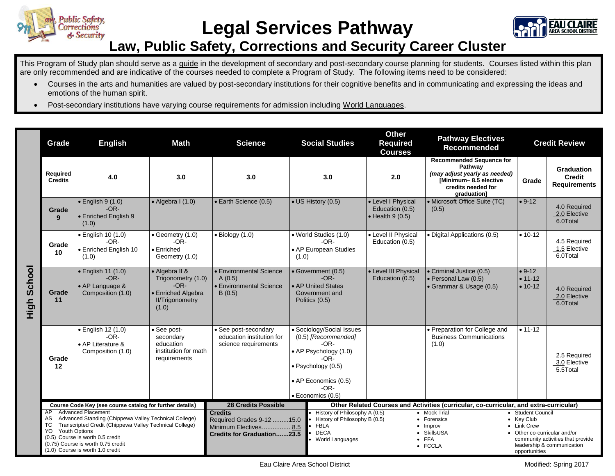

## **Legal Services Pathway**



## **Law, Public Safety, Corrections and Security Career Cluster**

This Program of Study plan should serve as a guide in the development of secondary and post-secondary course planning for students. Courses listed within this plan are only recommended and are indicative of the courses needed to complete a Program of Study. The following items need to be considered:

- Courses in the arts and humanities are valued by post-secondary institutions for their cognitive benefits and in communicating and expressing the ideas and emotions of the human spirit.
- Post-secondary institutions have varying course requirements for admission including World Languages.

|                       | Grade                                                                                                                                                                                                                                                                                                 | <b>English</b>                                                         | Math                                                                                                    | <b>Science</b>                                                                                                       | <b>Social Studies</b>                                                                                                                                                  | <b>Other</b><br><b>Required</b><br><b>Courses</b>                 | <b>Pathway Electives</b><br><b>Recommended</b>                                                                                            |                                                                                                 | <b>Credit Review</b>                                            |
|-----------------------|-------------------------------------------------------------------------------------------------------------------------------------------------------------------------------------------------------------------------------------------------------------------------------------------------------|------------------------------------------------------------------------|---------------------------------------------------------------------------------------------------------|----------------------------------------------------------------------------------------------------------------------|------------------------------------------------------------------------------------------------------------------------------------------------------------------------|-------------------------------------------------------------------|-------------------------------------------------------------------------------------------------------------------------------------------|-------------------------------------------------------------------------------------------------|-----------------------------------------------------------------|
| School<br><b>High</b> | Required<br><b>Credits</b>                                                                                                                                                                                                                                                                            | 4.0                                                                    | 3.0                                                                                                     | 3.0                                                                                                                  | 3.0                                                                                                                                                                    | 2.0                                                               | <b>Recommended Sequence for</b><br>Pathway<br>(may adjust yearly as needed)<br>[Minimum-8.5 elective<br>credits needed for<br>graduation] | Grade                                                                                           | Graduation<br><b>Credit</b><br><b>Requirements</b>              |
|                       | Grade<br>9                                                                                                                                                                                                                                                                                            | $\bullet$ English 9 (1.0)<br>$-OR-$<br>• Enriched English 9<br>(1.0)   | $\bullet$ Algebra I (1.0)                                                                               | • Earth Science (0.5)                                                                                                | • US History (0.5)                                                                                                                                                     | • Level I Physical<br>Education (0.5)<br>$\bullet$ Health 9 (0.5) | • Microsoft Office Suite (TC)<br>(0.5)                                                                                                    | $• 9-12$                                                                                        | 4.0 Required<br>2.0 Elective<br>6.0Total                        |
|                       | Grade<br>10                                                                                                                                                                                                                                                                                           | $\bullet$ English 10 (1.0)<br>$-OR-$<br>• Enriched English 10<br>(1.0) | • Geometry (1.0)<br>$-OR-$<br>$\bullet$ Enriched<br>Geometry (1.0)                                      | $\bullet$ Biology (1.0)                                                                                              | • World Studies (1.0)<br>$-OR-$<br>• AP European Studies<br>(1.0)                                                                                                      | • Level II Physical<br>Education (0.5)                            | • Digital Applications (0.5)                                                                                                              | $• 10-12$                                                                                       | 4.5 Required<br>1.5 Elective<br>6.0Total                        |
|                       | Grade<br>11                                                                                                                                                                                                                                                                                           | • English 11 (1.0)<br>$-OR-$<br>• AP Language &<br>Composition (1.0)   | • Algebra II &<br>Trigonometry (1.0)<br>$-OR-$<br>• Enriched Algebra<br><b>II/Trigonometry</b><br>(1.0) | • Environmental Science<br>A(0.5)<br>• Environmental Science<br>B(0.5)                                               | • Government (0.5)<br>$-OR-$<br>• AP United States<br>Government and<br>Politics (0.5)                                                                                 | • Level III Physical<br>Education (0.5)                           | • Criminal Justice (0.5)<br>• Personal Law (0.5)<br>• Grammar & Usage (0.5)                                                               | $• 9-12$<br>$• 11 - 12$<br>$• 10-12$                                                            | 4.0 Required<br>2.0 Elective<br>6.0Total                        |
|                       | Grade<br>$12 \,$                                                                                                                                                                                                                                                                                      | · English 12 (1.0)<br>$-OR-$<br>• AP Literature &<br>Composition (1.0) | • See post-<br>secondary<br>education<br>institution for math<br>requirements                           | • See post-secondary<br>education institution for<br>science requirements                                            | • Sociology/Social Issues<br>(0.5) [Recommended]<br>-OR-<br>• AP Psychology (1.0)<br>-OR-<br>· Psychology (0.5)<br>• AP Economics (0.5)<br>$-OR-$<br>· Economics (0.5) |                                                                   | • Preparation for College and<br><b>Business Communications</b><br>(1.0)                                                                  | $• 11 - 12$                                                                                     | 2.5 Required<br>3.0 Elective<br>5.5Total                        |
|                       | Course Code Key (see course catalog for further details)                                                                                                                                                                                                                                              |                                                                        |                                                                                                         | <b>28 Credits Possible</b><br>Other Related Courses and Activities (curricular, co-curricular, and extra-curricular) |                                                                                                                                                                        |                                                                   |                                                                                                                                           |                                                                                                 |                                                                 |
|                       | <b>Advanced Placement</b><br>AP.<br>Advanced Standing (Chippewa Valley Technical College)<br>AS<br>TC<br>Transcripted Credit (Chippewa Valley Technical College)<br>YO<br>Youth Options<br>(0.5) Course is worth 0.5 credit<br>(0.75) Course is worth 0.75 credit<br>(1.0) Course is worth 1.0 credit |                                                                        |                                                                                                         | <b>Credits</b><br>Required Grades 9-12 15.0<br>Minimum Electives 8.5<br>Credits for Graduation23.5                   | History of Philosophy A (0.5)<br>History of Philosophy B (0.5)<br><b>FBLA</b><br><b>DECA</b><br>World Languages                                                        |                                                                   | • Mock Trial<br>• Forensics<br>$\bullet$ Improv<br>• SkillsUSA<br>$\bullet$ FFA<br>• FCCLA                                                | • Student Council<br>• Key Club<br>• Link Crew<br>• Other co-curricular and/or<br>opportunities | community activities that provide<br>leadership & communication |